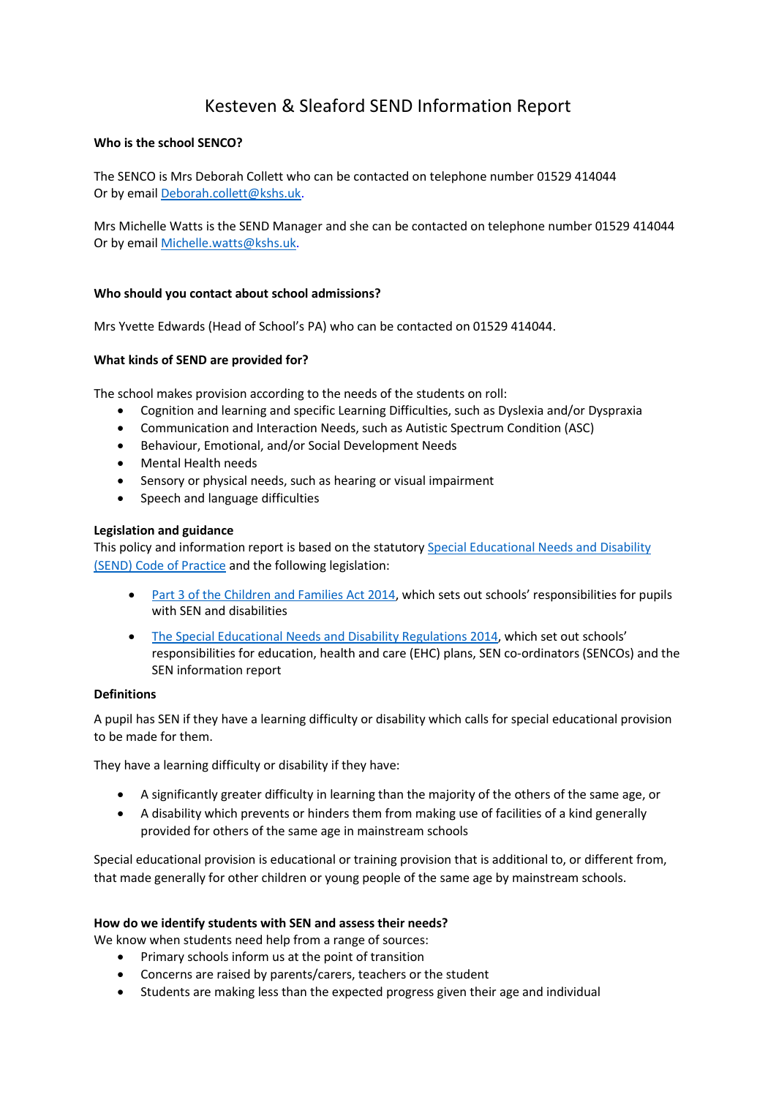# Kesteven & Sleaford SEND Information Report

## **Who is the school SENCO?**

The SENCO is Mrs Deborah Collett who can be contacted on telephone number 01529 414044 Or by emai[l Deborah.collett@kshs.uk.](mailto:Deborah.collett@kshs.uk)

Mrs Michelle Watts is the SEND Manager and she can be contacted on telephone number 01529 414044 Or by emai[l Michelle.watts@kshs.uk.](mailto:Michelle.watts@kshs.uk)

## **Who should you contact about school admissions?**

Mrs Yvette Edwards (Head of School's PA) who can be contacted on 01529 414044.

## **What kinds of SEND are provided for?**

The school makes provision according to the needs of the students on roll:

- Cognition and learning and specific Learning Difficulties, such as Dyslexia and/or Dyspraxia
- Communication and Interaction Needs, such as Autistic Spectrum Condition (ASC)
- Behaviour, Emotional, and/or Social Development Needs
- Mental Health needs
- Sensory or physical needs, such as hearing or visual impairment
- Speech and language difficulties

## **Legislation and guidance**

This policy and information report is based on the statutory [Special Educational Needs and Disability](https://www.gov.uk/government/uploads/system/uploads/attachment_data/file/398815/SEND_Code_of_Practice_January_2015.pdf)  [\(SEND\) Code of Practice](https://www.gov.uk/government/uploads/system/uploads/attachment_data/file/398815/SEND_Code_of_Practice_January_2015.pdf) and the following legislation:

- [Part 3 of the Children and Families Act 2014,](http://www.legislation.gov.uk/ukpga/2014/6/part/3) which sets out schools' responsibilities for pupils with SEN and disabilities
- [The Special Educational Needs and Disability Regulations 2014,](http://www.legislation.gov.uk/uksi/2014/1530/contents/made) which set out schools' responsibilities for education, health and care (EHC) plans, SEN co-ordinators (SENCOs) and the SEN information report

#### **Definitions**

A pupil has SEN if they have a learning difficulty or disability which calls for special educational provision to be made for them.

They have a learning difficulty or disability if they have:

- A significantly greater difficulty in learning than the majority of the others of the same age, or
- A disability which prevents or hinders them from making use of facilities of a kind generally provided for others of the same age in mainstream schools

Special educational provision is educational or training provision that is additional to, or different from, that made generally for other children or young people of the same age by mainstream schools.

#### **How do we identify students with SEN and assess their needs?**

We know when students need help from a range of sources:

- Primary schools inform us at the point of transition
- Concerns are raised by parents/carers, teachers or the student
- Students are making less than the expected progress given their age and individual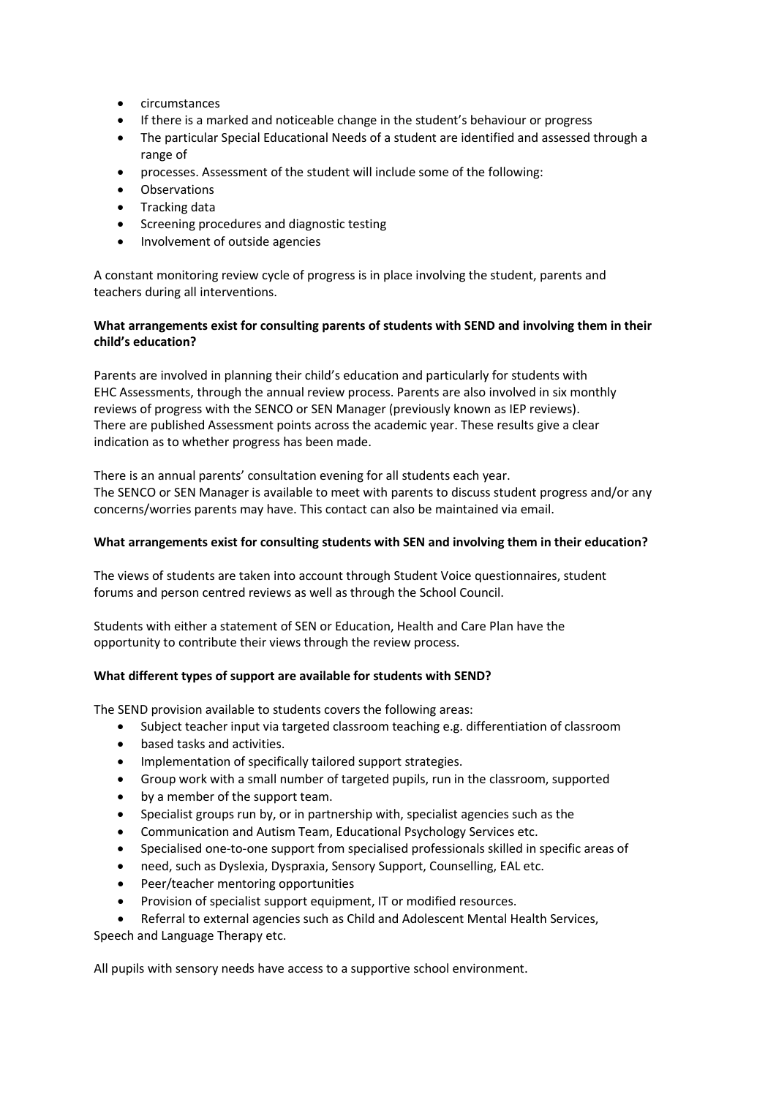- circumstances
- If there is a marked and noticeable change in the student's behaviour or progress
- The particular Special Educational Needs of a student are identified and assessed through a range of
- processes. Assessment of the student will include some of the following:
- **Observations**
- Tracking data
- Screening procedures and diagnostic testing
- Involvement of outside agencies

A constant monitoring review cycle of progress is in place involving the student, parents and teachers during all interventions.

# **What arrangements exist for consulting parents of students with SEND and involving them in their child's education?**

Parents are involved in planning their child's education and particularly for students with EHC Assessments, through the annual review process. Parents are also involved in six monthly reviews of progress with the SENCO or SEN Manager (previously known as IEP reviews). There are published Assessment points across the academic year. These results give a clear indication as to whether progress has been made.

There is an annual parents' consultation evening for all students each year. The SENCO or SEN Manager is available to meet with parents to discuss student progress and/or any concerns/worries parents may have. This contact can also be maintained via email.

# **What arrangements exist for consulting students with SEN and involving them in their education?**

The views of students are taken into account through Student Voice questionnaires, student forums and person centred reviews as well as through the School Council.

Students with either a statement of SEN or Education, Health and Care Plan have the opportunity to contribute their views through the review process.

# **What different types of support are available for students with SEND?**

The SEND provision available to students covers the following areas:

- Subject teacher input via targeted classroom teaching e.g. differentiation of classroom
- based tasks and activities.
- Implementation of specifically tailored support strategies.
- Group work with a small number of targeted pupils, run in the classroom, supported
- by a member of the support team.
- Specialist groups run by, or in partnership with, specialist agencies such as the
- Communication and Autism Team, Educational Psychology Services etc.
- Specialised one-to-one support from specialised professionals skilled in specific areas of
- need, such as Dyslexia, Dyspraxia, Sensory Support, Counselling, EAL etc.
- Peer/teacher mentoring opportunities
- Provision of specialist support equipment, IT or modified resources.
- Referral to external agencies such as Child and Adolescent Mental Health Services,

Speech and Language Therapy etc.

All pupils with sensory needs have access to a supportive school environment.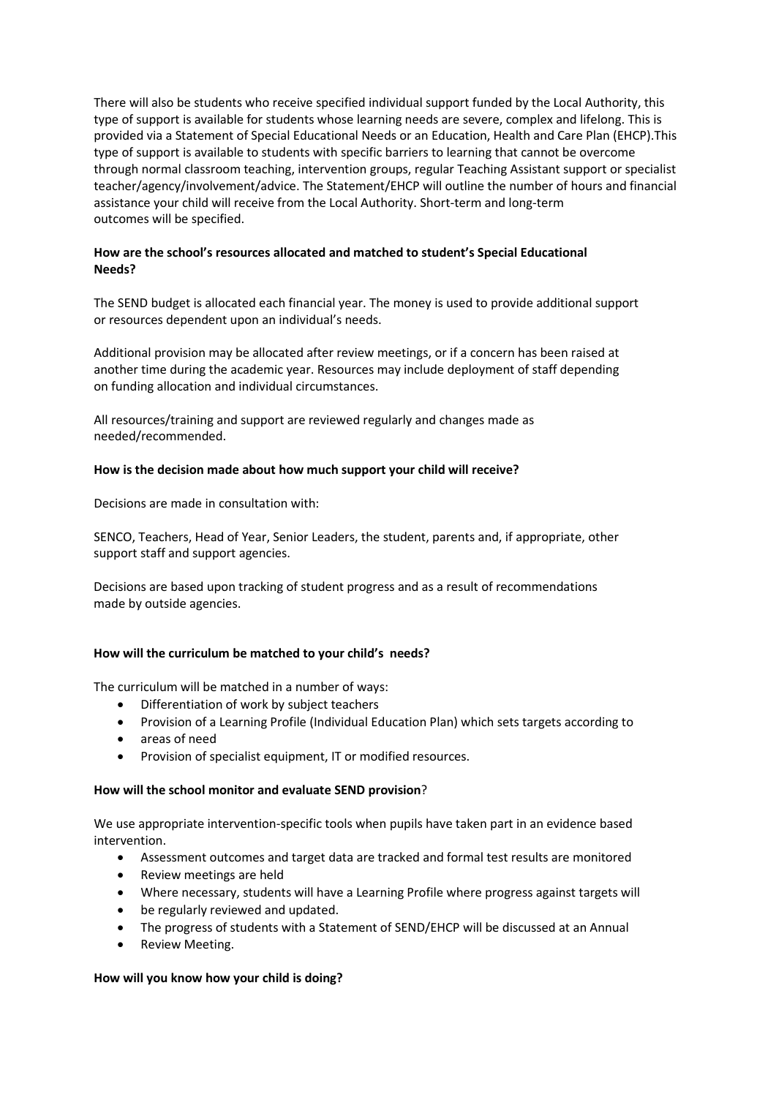There will also be students who receive specified individual support funded by the Local Authority, this type of support is available for students whose learning needs are severe, complex and lifelong. This is provided via a Statement of Special Educational Needs or an Education, Health and Care Plan (EHCP).This type of support is available to students with specific barriers to learning that cannot be overcome through normal classroom teaching, intervention groups, regular Teaching Assistant support or specialist teacher/agency/involvement/advice. The Statement/EHCP will outline the number of hours and financial assistance your child will receive from the Local Authority. Short-term and long-term outcomes will be specified.

# **How are the school's resources allocated and matched to student's Special Educational Needs?**

The SEND budget is allocated each financial year. The money is used to provide additional support or resources dependent upon an individual's needs.

Additional provision may be allocated after review meetings, or if a concern has been raised at another time during the academic year. Resources may include deployment of staff depending on funding allocation and individual circumstances.

All resources/training and support are reviewed regularly and changes made as needed/recommended.

## **How is the decision made about how much support your child will receive?**

Decisions are made in consultation with:

SENCO, Teachers, Head of Year, Senior Leaders, the student, parents and, if appropriate, other support staff and support agencies.

Decisions are based upon tracking of student progress and as a result of recommendations made by outside agencies.

#### **How will the curriculum be matched to your child's needs?**

The curriculum will be matched in a number of ways:

- Differentiation of work by subject teachers
- Provision of a Learning Profile (Individual Education Plan) which sets targets according to
- areas of need
- Provision of specialist equipment, IT or modified resources.

#### **How will the school monitor and evaluate SEND provision**?

We use appropriate intervention-specific tools when pupils have taken part in an evidence based intervention.

- Assessment outcomes and target data are tracked and formal test results are monitored
- Review meetings are held
- Where necessary, students will have a Learning Profile where progress against targets will
- be regularly reviewed and updated.
- The progress of students with a Statement of SEND/EHCP will be discussed at an Annual
- Review Meeting.

#### **How will you know how your child is doing?**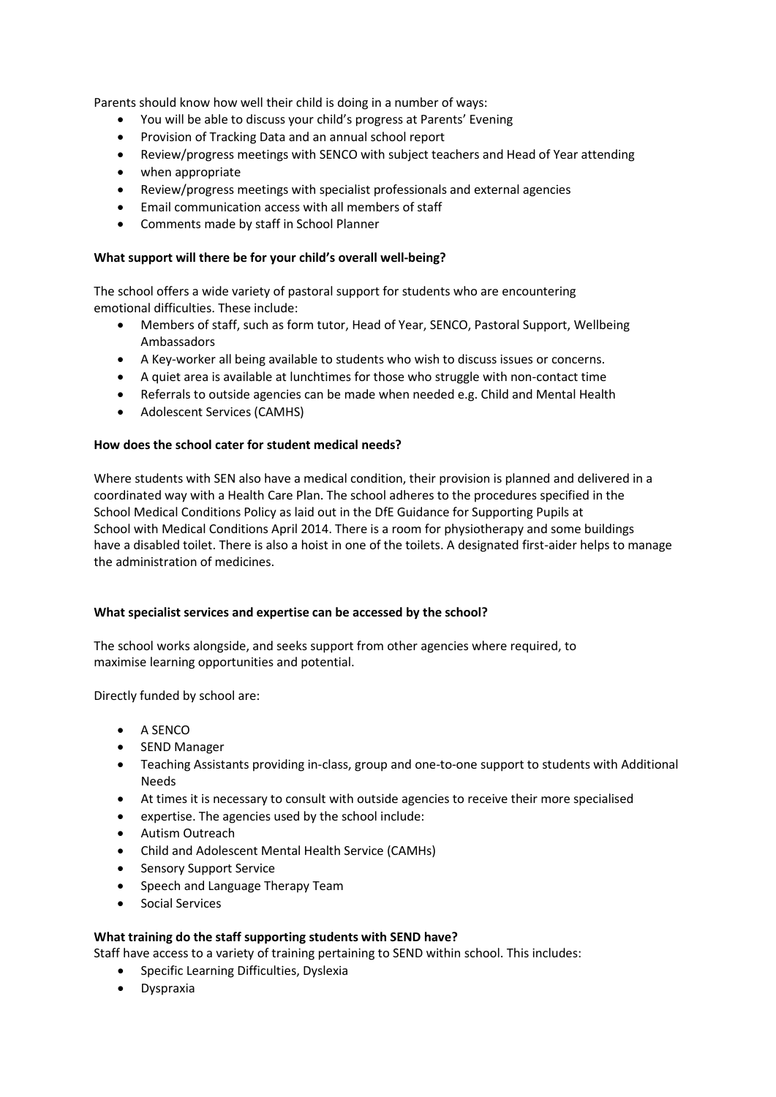Parents should know how well their child is doing in a number of ways:

- You will be able to discuss your child's progress at Parents' Evening
- Provision of Tracking Data and an annual school report
- Review/progress meetings with SENCO with subject teachers and Head of Year attending
- when appropriate
- Review/progress meetings with specialist professionals and external agencies
- Email communication access with all members of staff
- Comments made by staff in School Planner

## **What support will there be for your child's overall well‐being?**

The school offers a wide variety of pastoral support for students who are encountering emotional difficulties. These include:

- Members of staff, such as form tutor, Head of Year, SENCO, Pastoral Support, Wellbeing Ambassadors
- A Key-worker all being available to students who wish to discuss issues or concerns.
- A quiet area is available at lunchtimes for those who struggle with non-contact time
- Referrals to outside agencies can be made when needed e.g. Child and Mental Health
- Adolescent Services (CAMHS)

# **How does the school cater for student medical needs?**

Where students with SEN also have a medical condition, their provision is planned and delivered in a coordinated way with a Health Care Plan. The school adheres to the procedures specified in the School Medical Conditions Policy as laid out in the DfE Guidance for Supporting Pupils at School with Medical Conditions April 2014. There is a room for physiotherapy and some buildings have a disabled toilet. There is also a hoist in one of the toilets. A designated first-aider helps to manage the administration of medicines.

# **What specialist services and expertise can be accessed by the school?**

The school works alongside, and seeks support from other agencies where required, to maximise learning opportunities and potential.

Directly funded by school are:

- A SENCO
- SEND Manager
- Teaching Assistants providing in-class, group and one-to-one support to students with Additional Needs
- At times it is necessary to consult with outside agencies to receive their more specialised
- expertise. The agencies used by the school include:
- Autism Outreach
- Child and Adolescent Mental Health Service (CAMHs)
- Sensory Support Service
- Speech and Language Therapy Team
- Social Services

# **What training do the staff supporting students with SEND have?**

Staff have access to a variety of training pertaining to SEND within school. This includes:

- Specific Learning Difficulties, Dyslexia
- Dyspraxia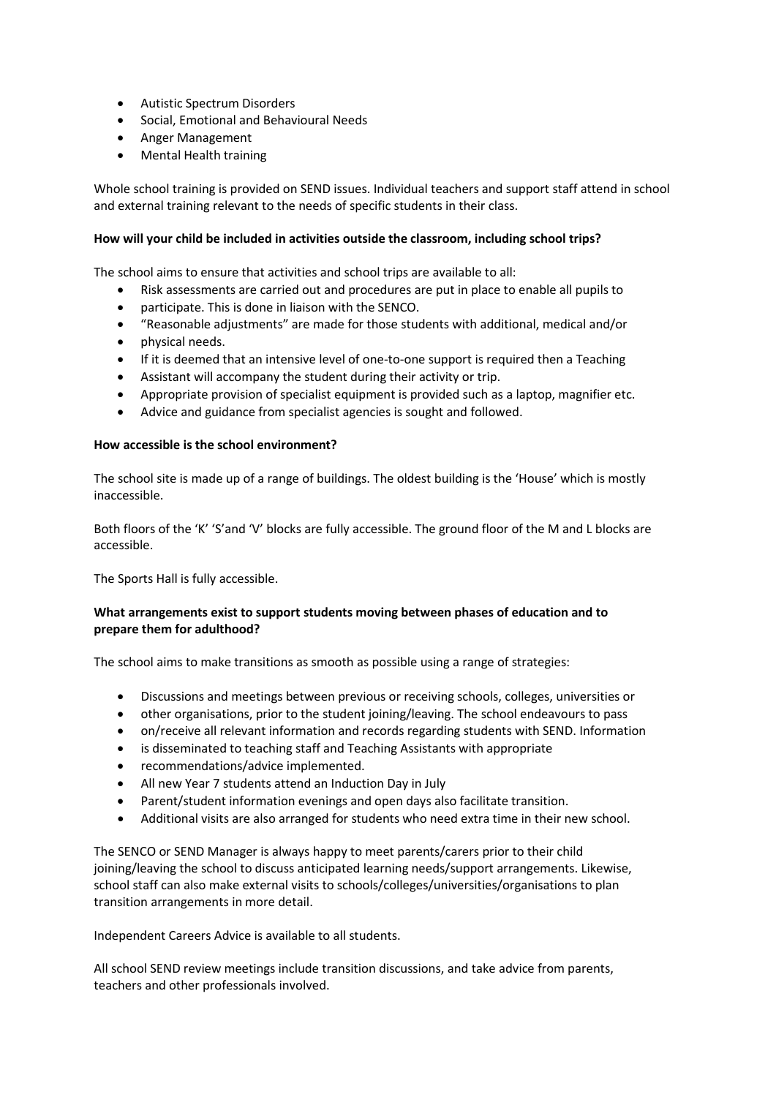- Autistic Spectrum Disorders
- Social, Emotional and Behavioural Needs
- Anger Management
- Mental Health training

Whole school training is provided on SEND issues. Individual teachers and support staff attend in school and external training relevant to the needs of specific students in their class.

## **How will your child be included in activities outside the classroom, including school trips?**

The school aims to ensure that activities and school trips are available to all:

- Risk assessments are carried out and procedures are put in place to enable all pupils to
- participate. This is done in liaison with the SENCO.
- "Reasonable adjustments" are made for those students with additional, medical and/or
- physical needs.
- If it is deemed that an intensive level of one-to-one support is required then a Teaching
- Assistant will accompany the student during their activity or trip.
- Appropriate provision of specialist equipment is provided such as a laptop, magnifier etc.
- Advice and guidance from specialist agencies is sought and followed.

# **How accessible is the school environment?**

The school site is made up of a range of buildings. The oldest building is the 'House' which is mostly inaccessible.

Both floors of the 'K' 'S'and 'V' blocks are fully accessible. The ground floor of the M and L blocks are accessible.

The Sports Hall is fully accessible.

# **What arrangements exist to support students moving between phases of education and to prepare them for adulthood?**

The school aims to make transitions as smooth as possible using a range of strategies:

- Discussions and meetings between previous or receiving schools, colleges, universities or
- other organisations, prior to the student joining/leaving. The school endeavours to pass
- on/receive all relevant information and records regarding students with SEND. Information
- is disseminated to teaching staff and Teaching Assistants with appropriate
- recommendations/advice implemented.
- All new Year 7 students attend an Induction Day in July
- Parent/student information evenings and open days also facilitate transition.
- Additional visits are also arranged for students who need extra time in their new school.

The SENCO or SEND Manager is always happy to meet parents/carers prior to their child joining/leaving the school to discuss anticipated learning needs/support arrangements. Likewise, school staff can also make external visits to schools/colleges/universities/organisations to plan transition arrangements in more detail.

Independent Careers Advice is available to all students.

All school SEND review meetings include transition discussions, and take advice from parents, teachers and other professionals involved.